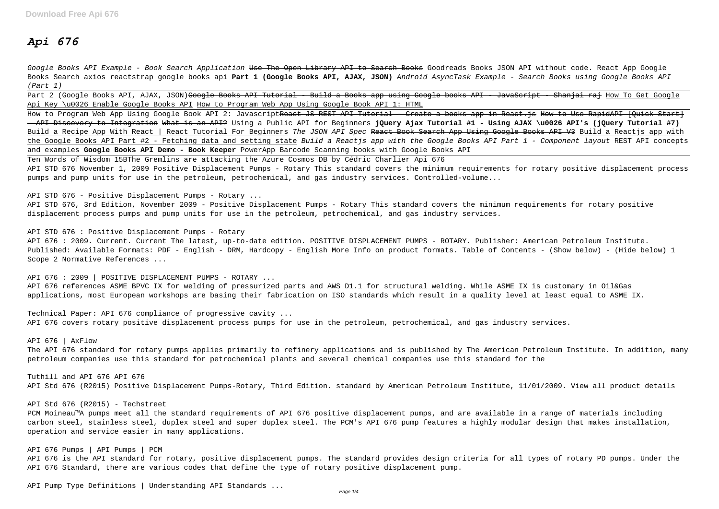# *Api 676*

Google Books API Example - Book Search Application <del>Use The Open Library API to Search Books</del> Goodreads Books JSON API without code. React App Google Books Search axios reactstrap google books api **Part 1 (Google Books API, AJAX, JSON)** Android AsyncTask Example - Search Books using Google Books API (Part 1)

Part 2 (Google Books API, AJAX, JSON)<del>Google Books API Tutorial - Build a Books app using Google books API - JavaScript - Shanjai raj How To Get Google</del> Api Key \u0026 Enable Google Books API How to Program Web App Using Google Book API 1: HTML

How to Program Web App Using Google Book API 2: JavascriptReact JS REST API Tutorial - Create a books app in React. is How to Use RapidAPI [Quick Start] — API Discovery to Integration What is an API? Using a Public API for Beginners **jQuery Ajax Tutorial #1 - Using AJAX \u0026 API's (jQuery Tutorial #7)** Build a Recipe App With React | React Tutorial For Beginners The JSON API Spec React Book Search App Using Google Books API V3 Build a Reactis app with the Google Books API Part #2 - Fetching data and setting state Build a Reactjs app with the Google Books API Part 1 - Component layout REST API concepts and examples **Google Books API Demo - Book Keeper** PowerApp Barcode Scanning books with Google Books API

Ten Words of Wisdom 15BThe Gremlins are attacking the Azure Cosmos DB by Cédric Charlier Api 676

API 676 : 2009 | POSITIVE DISPLACEMENT PUMPS - ROTARY ... API 676 references ASME BPVC IX for welding of pressurized parts and AWS D1.1 for structural welding. While ASME IX is customary in Oil&Gas applications, most European workshops are basing their fabrication on ISO standards which result in a quality level at least equal to ASME IX.

API STD 676 November 1, 2009 Positive Displacement Pumps - Rotary This standard covers the minimum requirements for rotary positive displacement process pumps and pump units for use in the petroleum, petrochemical, and gas industry services. Controlled-volume...

API STD 676 - Positive Displacement Pumps - Rotary ...

API STD 676, 3rd Edition, November 2009 - Positive Displacement Pumps - Rotary This standard covers the minimum requirements for rotary positive displacement process pumps and pump units for use in the petroleum, petrochemical, and gas industry services.

API STD 676 : Positive Displacement Pumps - Rotary API 676 : 2009. Current. Current The latest, up-to-date edition. POSITIVE DISPLACEMENT PUMPS - ROTARY. Publisher: American Petroleum Institute. Published: Available Formats: PDF - English - DRM, Hardcopy - English More Info on product formats. Table of Contents - (Show below) - (Hide below) 1 Scope 2 Normative References ...

Technical Paper: API 676 compliance of progressive cavity ... API 676 covers rotary positive displacement process pumps for use in the petroleum, petrochemical, and gas industry services.

API 676 | AxFlow

The API 676 standard for rotary pumps applies primarily to refinery applications and is published by The American Petroleum Institute. In addition, many petroleum companies use this standard for petrochemical plants and several chemical companies use this standard for the

Tuthill and API 676 API 676 API Std 676 (R2015) Positive Displacement Pumps-Rotary, Third Edition. standard by American Petroleum Institute, 11/01/2009. View all product details

API Std 676 (R2015) - Techstreet

PCM Moineau™A pumps meet all the standard requirements of API 676 positive displacement pumps, and are available in a range of materials including carbon steel, stainless steel, duplex steel and super duplex steel. The PCM's API 676 pump features a highly modular design that makes installation, operation and service easier in many applications.

API 676 Pumps | API Pumps | PCM

API 676 is the API standard for rotary, positive displacement pumps. The standard provides design criteria for all types of rotary PD pumps. Under the API 676 Standard, there are various codes that define the type of rotary positive displacement pump.

API Pump Type Definitions | Understanding API Standards ...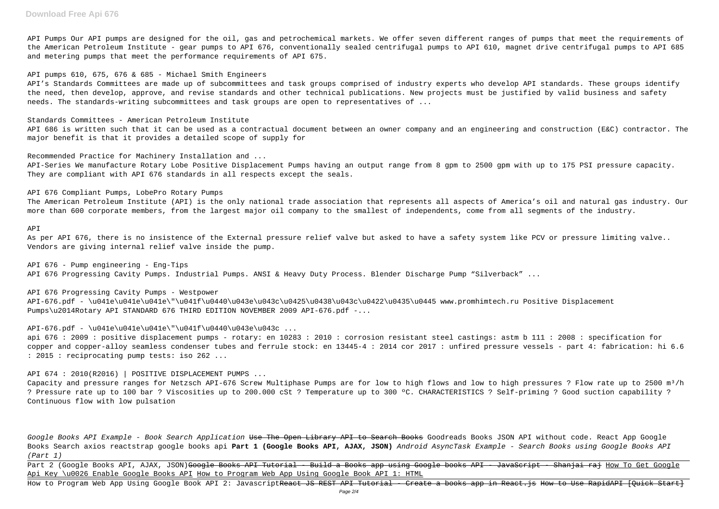API Pumps Our API pumps are designed for the oil, gas and petrochemical markets. We offer seven different ranges of pumps that meet the requirements of the American Petroleum Institute - gear pumps to API 676, conventionally sealed centrifugal pumps to API 610, magnet drive centrifugal pumps to API 685 and metering pumps that meet the performance requirements of API 675.

### API pumps 610, 675, 676 & 685 - Michael Smith Engineers

API's Standards Committees are made up of subcommittees and task groups comprised of industry experts who develop API standards. These groups identify the need, then develop, approve, and revise standards and other technical publications. New projects must be justified by valid business and safety needs. The standards-writing subcommittees and task groups are open to representatives of ...

Standards Committees - American Petroleum Institute

As per API 676, there is no insistence of the External pressure relief valve but asked to have a safety system like PCV or pressure limiting valve.. Vendors are giving internal relief valve inside the pump.

API 686 is written such that it can be used as a contractual document between an owner company and an engineering and construction (E&C) contractor. The major benefit is that it provides a detailed scope of supply for

Recommended Practice for Machinery Installation and ...

API-Series We manufacture Rotary Lobe Positive Displacement Pumps having an output range from 8 gpm to 2500 gpm with up to 175 PSI pressure capacity. They are compliant with API 676 standards in all respects except the seals.

API 676 Compliant Pumps, LobePro Rotary Pumps

Capacity and pressure ranges for Netzsch API-676 Screw Multiphase Pumps are for low to high flows and low to high pressures ? Flow rate up to 2500 m<sup>3</sup>/h ? Pressure rate up to 100 bar ? Viscosities up to 200.000 cSt ? Temperature up to 300 ºC. CHARACTERISTICS ? Self-priming ? Good suction capability ? Continuous flow with low pulsation

The American Petroleum Institute (API) is the only national trade association that represents all aspects of America's oil and natural gas industry. Our more than 600 corporate members, from the largest major oil company to the smallest of independents, come from all segments of the industry.

Google Books API Example - Book Search Application <del>Use The Open Library API to Search Books</del> Goodreads Books JSON API without code. React App Google Books Search axios reactstrap google books api **Part 1 (Google Books API, AJAX, JSON)** Android AsyncTask Example - Search Books using Google Books API (Part 1)

Part 2 (Google Books API, AJAX, JSON)<del>Google Books API Tutorial - Build a Books app using Google books API - JavaScript - Shanjai raj How To Get Google</del> Api Key \u0026 Enable Google Books API How to Program Web App Using Google Book API 1: HTML

API

How to Program Web App Using Google Book API 2: JavascriptReact JS REST API Tutorial - Create a books app in React. is How to Use RapidAPI [Quick Start]

API 676 - Pump engineering - Eng-Tips API 676 Progressing Cavity Pumps. Industrial Pumps. ANSI & Heavy Duty Process. Blender Discharge Pump "Silverback" ...

API 676 Progressing Cavity Pumps - Westpower API-676.pdf - \u041e\u041e\u041e\"\u041f\u0440\u043e\u043c\u0425\u0438\u043c\u0422\u0435\u0445 www.promhimtech.ru Positive Displacement Pumps\u2014Rotary API STANDARD 676 THIRD EDITION NOVEMBER 2009 API-676.pdf -...

 $API-676.pdf - \u041e\u041e\u041e'\u041f\u0440\u043e\u043c ...$ 

api 676 : 2009 : positive displacement pumps - rotary: en 10283 : 2010 : corrosion resistant steel castings: astm b 111 : 2008 : specification for copper and copper-alloy seamless condenser tubes and ferrule stock: en 13445-4 : 2014 cor 2017 : unfired pressure vessels - part 4: fabrication: hi 6.6 : 2015 : reciprocating pump tests: iso 262 ...

API 674 : 2010(R2016) | POSITIVE DISPLACEMENT PUMPS ...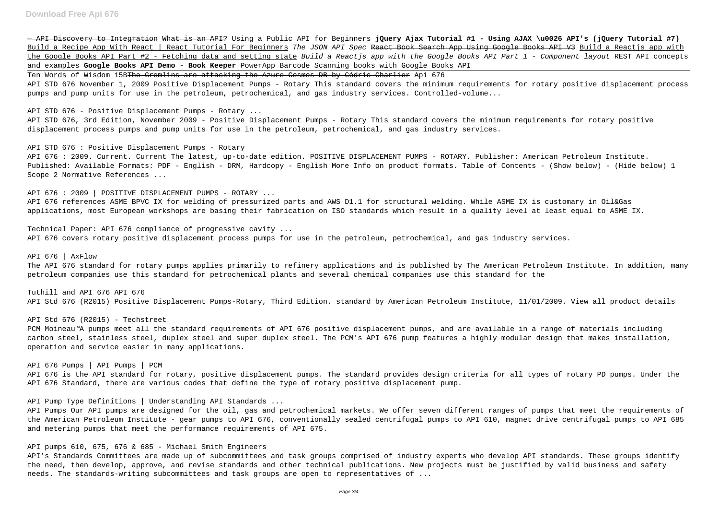— API Discovery to Integration What is an API? Using a Public API for Beginners **jQuery Ajax Tutorial #1 - Using AJAX \u0026 API's (jQuery Tutorial #7)** Build a Recipe App With React | React Tutorial For Beginners The JSON API Spec React Book Search App Using Google Books API V3 Build a Reactjs app with the Google Books API Part #2 - Fetching data and setting state Build a Reactjs app with the Google Books API Part 1 - Component layout REST API concepts and examples **Google Books API Demo - Book Keeper** PowerApp Barcode Scanning books with Google Books API

Ten Words of Wisdom 15BThe Gremlins are attacking the Azure Cosmos DB by Cédric Charlier Api 676

API STD 676 November 1, 2009 Positive Displacement Pumps - Rotary This standard covers the minimum requirements for rotary positive displacement process pumps and pump units for use in the petroleum, petrochemical, and gas industry services. Controlled-volume...

API STD 676 - Positive Displacement Pumps - Rotary ...

API STD 676, 3rd Edition, November 2009 - Positive Displacement Pumps - Rotary This standard covers the minimum requirements for rotary positive displacement process pumps and pump units for use in the petroleum, petrochemical, and gas industry services.

API STD 676 : Positive Displacement Pumps - Rotary API 676 : 2009. Current. Current The latest, up-to-date edition. POSITIVE DISPLACEMENT PUMPS - ROTARY. Publisher: American Petroleum Institute. Published: Available Formats: PDF - English - DRM, Hardcopy - English More Info on product formats. Table of Contents - (Show below) - (Hide below) 1 Scope 2 Normative References ...

API 676 : 2009 | POSITIVE DISPLACEMENT PUMPS - ROTARY ... API 676 references ASME BPVC IX for welding of pressurized parts and AWS D1.1 for structural welding. While ASME IX is customary in Oil&Gas applications, most European workshops are basing their fabrication on ISO standards which result in a quality level at least equal to ASME IX.

API's Standards Committees are made up of subcommittees and task groups comprised of industry experts who develop API standards. These groups identify the need, then develop, approve, and revise standards and other technical publications. New projects must be justified by valid business and safety needs. The standards-writing subcommittees and task groups are open to representatives of ...

Technical Paper: API 676 compliance of progressive cavity ... API 676 covers rotary positive displacement process pumps for use in the petroleum, petrochemical, and gas industry services.

API 676 | AxFlow The API 676 standard for rotary pumps applies primarily to refinery applications and is published by The American Petroleum Institute. In addition, many petroleum companies use this standard for petrochemical plants and several chemical companies use this standard for the

Tuthill and API 676 API 676 API Std 676 (R2015) Positive Displacement Pumps-Rotary, Third Edition. standard by American Petroleum Institute, 11/01/2009. View all product details

API Std 676 (R2015) - Techstreet

PCM Moineau™A pumps meet all the standard requirements of API 676 positive displacement pumps, and are available in a range of materials including carbon steel, stainless steel, duplex steel and super duplex steel. The PCM's API 676 pump features a highly modular design that makes installation, operation and service easier in many applications.

API 676 Pumps | API Pumps | PCM API 676 is the API standard for rotary, positive displacement pumps. The standard provides design criteria for all types of rotary PD pumps. Under the API 676 Standard, there are various codes that define the type of rotary positive displacement pump.

API Pump Type Definitions | Understanding API Standards ...

API Pumps Our API pumps are designed for the oil, gas and petrochemical markets. We offer seven different ranges of pumps that meet the requirements of the American Petroleum Institute - gear pumps to API 676, conventionally sealed centrifugal pumps to API 610, magnet drive centrifugal pumps to API 685 and metering pumps that meet the performance requirements of API 675.

API pumps 610, 675, 676 & 685 - Michael Smith Engineers